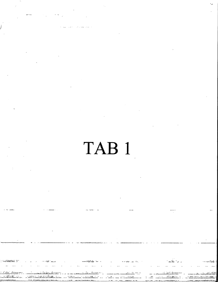# TAB <sup>1</sup>

t,

÷.

j.

i<br>II<br>III

 $\ddot{\varepsilon}$ 

بہ ہے<br>منصوبہ<br>منصوبہ

J

r<br>F<del>aru</del>r f

7 ts<br>Sepa

f

y t

<u>مىلانائىمە: ئەھەد ئىمالانىمە:</u>

man<br>leathair

r4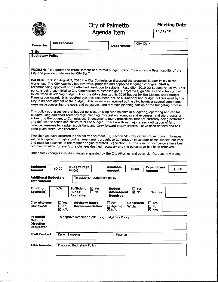|--|--|

1.01%  $_{\odot}$ 

# City of Palmetto Agenda Item

Meeting Date

 $11/1/10$ 

| Presenter:                                                                                                                                                                                                                                                                                                                                                                                                                                                                                                                                                                                                                                                                                                                                                                                                                                                       | <b>Jim Freeman</b>                                                                                                                                    | Department:                                       | <b>City Clerk</b>                                          |        |  |  |
|------------------------------------------------------------------------------------------------------------------------------------------------------------------------------------------------------------------------------------------------------------------------------------------------------------------------------------------------------------------------------------------------------------------------------------------------------------------------------------------------------------------------------------------------------------------------------------------------------------------------------------------------------------------------------------------------------------------------------------------------------------------------------------------------------------------------------------------------------------------|-------------------------------------------------------------------------------------------------------------------------------------------------------|---------------------------------------------------|------------------------------------------------------------|--------|--|--|
|                                                                                                                                                                                                                                                                                                                                                                                                                                                                                                                                                                                                                                                                                                                                                                                                                                                                  |                                                                                                                                                       |                                                   |                                                            |        |  |  |
| Title:<br><b>Budgetary Policy</b>                                                                                                                                                                                                                                                                                                                                                                                                                                                                                                                                                                                                                                                                                                                                                                                                                                |                                                                                                                                                       |                                                   |                                                            |        |  |  |
|                                                                                                                                                                                                                                                                                                                                                                                                                                                                                                                                                                                                                                                                                                                                                                                                                                                                  |                                                                                                                                                       |                                                   |                                                            |        |  |  |
|                                                                                                                                                                                                                                                                                                                                                                                                                                                                                                                                                                                                                                                                                                                                                                                                                                                                  |                                                                                                                                                       |                                                   |                                                            |        |  |  |
|                                                                                                                                                                                                                                                                                                                                                                                                                                                                                                                                                                                                                                                                                                                                                                                                                                                                  | PROBLEM: To approve the establishment of a formal budget policy. To ensure the fiscal stability of the<br>City and provide guidelines for City Staff. |                                                   |                                                            |        |  |  |
| BACKGROUND: On August 2, 2010 the City Commission discussed the proposed Budget Policy in the<br>workshop. The City Attorney has reviewed, proposed and approved language changes. Staff is<br>recommending approval of the attached resolution to establish Resolution 2010-22 Budgetary Policy. This<br>policy is being submitted to City Commission to establish goals, objectives, guidelines and rules staff will<br>follow when developing budget. Also, the City submitted its 2010 Budget for the Distinguished Budget<br>Presentation Award. It is required that this document include all financial and budget policies used by the<br>City in its development of the budget. This award was received by the city, however several comments<br>were made concerning the goals and objectives, and strategic planning portion of the budgeting process. |                                                                                                                                                       |                                                   |                                                            |        |  |  |
| This policy addresses general budget policies, utilizing fund balance in budgeting, operating and capital<br>budgets, long and short term strategic planning, forecasting revenues and expenses, and the process of<br>submitting the budget to Commission. It documents many procedures that are currently being performed<br>and defines the scope and structure of the budget. There are three major areas - utilization of fund<br>balance, reserves for capital acquisitions and carry forward encumbrances - have been defined and has<br>been given careful consideration.                                                                                                                                                                                                                                                                                |                                                                                                                                                       |                                                   |                                                            |        |  |  |
| Two changes have occurred in this policy document - 1) Section 5E - The carried-forward encumbrances<br>will be budgeted through a budget amendment brought to Commission in October of the subsequent year<br>and must be balanced in the manner originally stated. 2) Section 5J - The specific cost centers have been<br>removed to allow for any future changes deemed necessary and the percentage has been removed.                                                                                                                                                                                                                                                                                                                                                                                                                                        |                                                                                                                                                       |                                                   |                                                            |        |  |  |
|                                                                                                                                                                                                                                                                                                                                                                                                                                                                                                                                                                                                                                                                                                                                                                                                                                                                  | Other track changes indicate changes suggested by the City Attorney and other clarifications in wording.                                              |                                                   |                                                            |        |  |  |
| <b>Budgeted</b><br>Amount:                                                                                                                                                                                                                                                                                                                                                                                                                                                                                                                                                                                                                                                                                                                                                                                                                                       | <b>Budget Page</b><br>\$0.00<br>$No(s)$ :                                                                                                             | <b>Available</b><br>Amount:                       | <b>Expenditure</b><br>\$0.00<br>Amount:                    | \$0.00 |  |  |
| <b>Additional Budgetary</b><br>Information:                                                                                                                                                                                                                                                                                                                                                                                                                                                                                                                                                                                                                                                                                                                                                                                                                      | To establish budgetary policy                                                                                                                         |                                                   |                                                            |        |  |  |
| Funding<br>Source(s):                                                                                                                                                                                                                                                                                                                                                                                                                                                                                                                                                                                                                                                                                                                                                                                                                                            | N/A<br><b>Sufficient</b><br>⊠ Yes<br><b>Funds</b><br>$\Box$ No<br>Available:                                                                          | <b>Budget</b><br><b>Amendment</b><br>Required:    | $\Box$ Yes<br>⊠ No<br>Source:                              |        |  |  |
| <b>City Attorney</b><br>Reviewed:                                                                                                                                                                                                                                                                                                                                                                                                                                                                                                                                                                                                                                                                                                                                                                                                                                | □ Yes<br><b>Advisory Board</b><br>$\square$ No<br><b>Recommendation:</b><br>$\boxtimes$ N/A                                                           | $\square$ For<br>$\Box$ Against<br>With:<br>⊠ N/A | <b>Consistent</b><br>$\Box$ Yes<br>□ No<br>$\boxtimes$ N/A |        |  |  |
| Potential<br>Motion/<br>Direction<br>Requested:                                                                                                                                                                                                                                                                                                                                                                                                                                                                                                                                                                                                                                                                                                                                                                                                                  | To approve Resolution 2010-22, Budgetary Policy.                                                                                                      |                                                   |                                                            |        |  |  |
| <b>Staff Contact:</b>                                                                                                                                                                                                                                                                                                                                                                                                                                                                                                                                                                                                                                                                                                                                                                                                                                            | Karen Simpson                                                                                                                                         | Finance                                           |                                                            |        |  |  |
| <b>Attachments:</b>                                                                                                                                                                                                                                                                                                                                                                                                                                                                                                                                                                                                                                                                                                                                                                                                                                              | Proposed Budgetary Policy                                                                                                                             |                                                   |                                                            |        |  |  |
|                                                                                                                                                                                                                                                                                                                                                                                                                                                                                                                                                                                                                                                                                                                                                                                                                                                                  |                                                                                                                                                       |                                                   |                                                            |        |  |  |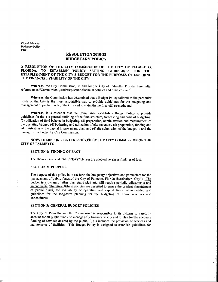# RESOLUTION 2010-22 BUDGETARY POLICY

### A RESOLUTION OF THE CITY COMMISSION OF THE CITY OF PALMETTO FLORIDA TO ESTABLISH POLICY SETTING GUIDELINES FOR THE ESTABLISHMENTOF THE CITY <sup>S</sup> BUDGET FOR THE PURPOSES OF ENSURING THE FINANCIAL STABILITY OF THE CITY

Whereas, the City Commission, in and for the City of Palmetto, Florida, hereinafter referred to as "Commission", endorses sound financial policies and practices; and

Whereas, the Commission has determined that a Budget Policy tailored to the particular needs of the City is the most responsible way to provide guidelines for the budgeting and management of public funds of the City and to maintain the financial strength; and

Whereas, it is essential that the Commission establish a Budget Policy to provide guidelines for the (1) general outlining of the fund structure, forecasting and basis of budgeting,  $(2)$  utilization of fund balance in budgeting,  $(3)$  preparation, administration and measurement of the operating budget, (4) budgeting and utilization of city revenues, (5) preparation, funding and administration of the capital improvement plan, and (6) the submission of the budget to and the passage of the budget by City Commission

# NOW, THEREFORE, BE IT RESOLVED BY THE CITY COMMISSION OF THE CITY OF PALMETTO

## **SECTION 1: FINDING OF FACT**

The above-referenced "WHEREAS" clauses are adopted herein as findings of fact.

#### **SECTION 2: PURPOSE**

The purpose of this policy is to set forth the budgetary objectives and parameters for the management of public funds of the City of Palmetto, Florida (hereinafter "City"). The budget is a dynamic rather than static plan and will require periodic adjustments and amendments. Therefore, These policies are designed to ensure the prudent management of public funds, the availability of operating and capital funds when needed and guidelines for the long term planning for the budgeting of future revenues and expenditures

#### **SECTION 3: GENERAL BUDGET POLICIES**

The City of Palmetto and the Commission is responsible to its citizens to carefully account for all public funds, to manage City finances wisely and to plan for the adequate funding of services desired by the public. This includes the provision of services and maintenance of facilities This Budget Policy is designed to establish guidelines for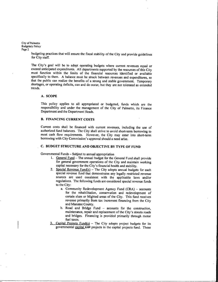budgeting practices that will ensure the fiscal stability of the City and provide guidelines for City staff

The City's goal will be to adopt operating budgets where current revenues equal or exceed anticipated expenditures. All departments supported by the resources of this City must function within the limits of the financial resources identified or available specifically to them. A balance must be struck between revenues and expenditures, so that the public can realize the benefits of a strong and stable government. Temporary shortages, or operating deficits, can and do occur, but they are not tolerated as extended trends

#### A. SCOPE

This policy applies to all appropriated or budgeted, funds which are the responsibility and under the management of the City of Palmetto, its Finance Department and the Department Heads

# **B. FINANCING CURRENT COSTS**

Current costs shall be financed with current revenues, including the use of authorized fund balances. The City shall strive to avoid short-term borrowing to meet cash flow requirements. However, the City may enter into short-term borrowing with City Commission's approval should a need arise.

# C. BUDGET STRUCTURE AND OBJECTIVE BY TYPE OF FUND

Governmental Funds - Subject to annual appropriation

- 1. General Fund The annual budget for the General Fund shall provide for general government operations of the City and maintain working capital necessary for the City's financial health and stability.
- 2. Special Revenue Fund(s) The City adopts annual budgets for each special revenue fund that demonstrates any legally restricted revenue sources are used consistent with the applicable laws and/or regulations. The following funds are considered special revenue funds to the City
	- a. Community Redevelopment Agency Fund  $(CRA)$  accounts for the rehabilitation, conservation and redevelopment of certain slum or blighted areas of the City. This fund receives revenue primarily from tax increment financing from the City and Manatee County
	- $b.$  Road and Bridge Fund  $-$  accounts for the construction, maintenance, repair and replacement of the City's streets roads and bridges. Financing is provided primarily through motor fuel taxes
- $\frac{3}{2}$  Capital Projects Fund(s) The City adopts project budgets for its governmental capital GIP projects in the capital projects fund. These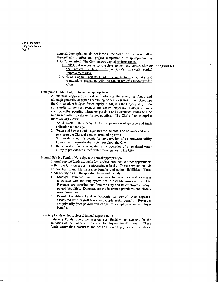> adopted appropriations do not lapse at the end of a fiscal year; rather they remain in effect until project completion or re-appropriation by City Commission. The City has two capital projects funds:

- a. CIP Fund accounts for the development and construction of ---- [Formatted the projects included in the City's five-year capital improvement plan.
- 3-b. CRA Capital Projects Fund accounts for the activity and transactions associated with the capital projects funded by the CRA

Enterprise Funds - Subject to annual appropriation

<sup>A</sup> business approach is used in budgeting for enterprise funds and although generally accepted accounting principles (GAAP) do not require the City to adopt budgets for enterprise funds, it is the City's policy to do so in order to monitor revenues and control expenses. Enterprise funds shall be self supporting whenever possible and subsidized losses will be minimized when breakeven is not possible. The City's four enterprise funds are as follows

- 1. Solid Waste Fund accounts for the provision of garbage and trash collection to the City
- 2. Water and Sewer Fund accounts for the provision of water and sewer service to the City and certain surrounding areas.
- 3. Stormwater Fund  $-$  accounts for the operation of a stormwater utility to improve stormwater drainage throughout the City.
- 4. Reuse Water Fund accounts for the operation of a reclaimed water utility to provide reclaimed water for irrigation in the City

Internal Service Funds - Not subject to annual appropriation

Internal service funds accounts for services provided to other departments within the City on a cost reimbursement basis. These services include general health and life insurance benefits and payroll liabilities. These funds operate on a self-supporting basis and include:<br>1. Medical Insurance Fund – accounts for rev

- $Medical$  Insurance Fund  $-$  accounts for revenues and expenses associated with the employee's health and life insurance benefits. Revenues are contributions from the City and its employees through payroll activities. Expenses are the insurance premiums and closely match revenues
- 2. Payroll Liabilities Fund accounts for payroll type expenses associated with payroll taxes and supplemental benefits. Revenues are primarily from payroll deductions from employees and employer benefits

Fiduciary Funds – Not subject to annual appropriation

Fiduciary Funds report the pension trust funds which account for the activities of the Police and General Employees Pension plans. These funds accumulate resources for pension benefit payments to qualified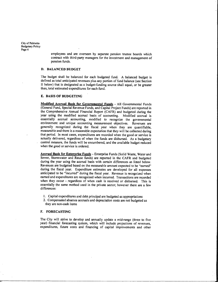> employees and are overseen by separate pension trustee boards which contract with third-party managers for the investment and management of pension funds

# D. BALANCED BUDGET

The budget shall be balanced for each budgeted fund. A balanced budget is defined as total anticipated revenues plus any portion of fund balance (see Section II below) that is designated as a budget-funding source shall equal, or be greater than, total estimated expenditures for each fund.

#### E. BASIS OF BUDGETING

Modified Accrual Basis for Governmental Funds - All Governmental Funds (General Fund, Special Revenue Funds, and Capital Project Funds) are reported in the Comprehensive Annual Financial Report (CAFR) and budgeted during the year using the modified accrual basis of accounting Modified accrual is essentially accrual accounting, modified to recognize the governmental environment and unique accounting measurement objectives. Revenues are generally recognized during the fiscal year when they are quantifiable, measurable and there is <sup>a</sup> reasonable expectation that they will be collected during that period. In most cases, expenditures are recorded when the good or service is actually delivered, regardless of when the funds are disbursed. As a budgetary control measure, the funds will be encumbered, and the available budget reduced when the good or service is ordered

Accrual Basis for Enterprise Funds - Enterprise Funds (Solid Waste, Water and Sewer, Stormwater and Reuse funds) are reported in the CAFR and budgeted during the year using the accrual basis with certain differences as listed below Revenues are budgeted based on the measurable amount expected to be "earned" during the fiscal year. Expenditure estimates are developed for all expenses anticipated to be "incurred" during the fiscal year. Revenue is recognized when earned and expenditures are recognized when incurred. Transactions are recorded when they occur - regardless of when cash is received or disbursed. This is essentially the same method used in the private sector; however there are a few differences:

- 1. Capital expenditures and debt principal are budgeted as appropriations
- 2. Compensated absence accruals and depreciation costs are not budgeted as they are non cash items

#### F. FORECASTING

The City will strive to develop and annually update a mid-range (three to five year) financial forecasting system, which will include projections of revenues, expenditures, future costs and financing of capital improvements and other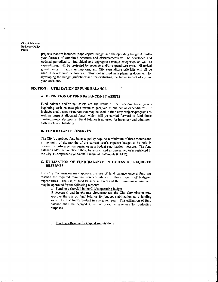> projects that are included in the capital budget and the operating budget.A multiyear forecast of combined revenues and disbursements will be developed and updated periodically. Individual and aggregate revenue categories, as well as expenditures, will be projected by revenue and/or expenditure type. Historical growth rates, inflation assumptions, and City expenditure priorities will all be used in developing the forecast. This tool is used as a planning document for developing the budget guidelines and for evaluating the future impact of current year decisions

#### SECTION 4. UTILIZATION OF FUND BALANCE

#### A. DEFINITION OF FUND BALANCE/NET ASSETS

Fund balance and/or net assets are the result of the previous fiscal year's beginning cash balance plus revenues received minus actual expenditures. It includes unallocated resources that may be used to fund new projects/programs as well as unspent allocated funds, which will be carried forward to fund those existing projects/programs. Fund balance is adjusted for inventory and other noncash assets and liabilities

#### **B. FUND BALANCE RESERVES**

The City's approved fund balance policy requires a minimum of three months and a maximum of six months of the current year's expense budget to be held in reserve for unforeseen emergencies as a budget stabilization measure. The fund balance andor net assets are those balances listed as unreserved or unrestricted in the City's Comprehensive Annual Financial Statements (CAFR).

#### C. UTILIZATION OF FUND BALANCE IN EXCESS OF REQUIRED RESERVES

The City Commission may approve the use of fund balance once <sup>a</sup> fund has reached the required minimum reserve balance of three months of budgeted expenditures. The use of fund balance in excess of the minimum requirement may be approved for the following reasons

a. Funding a shortfall in the City's operating budget

If necessary, and in extreme circumstances, the City Commission may approve the use of fund balance for budget stabilization as <sup>a</sup> funding source for that fund's budget in any given year. The utilization of fund balance shall be deemed a use of one time revenues for budgeting purposes

b. Funding a Reserve for Capital Acquisitions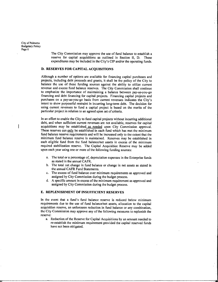> The City Commission may approve the use of fund balance to establish a reserve for capital acquisitions as outlined in Section II. D. These expenditures may be included in the City's CIP and/or the operating funds.

# D. RESERVES FOR CAPITAL ACQUISITIONS

Although <sup>a</sup> number of options are available for financing capital purchases and projects, including debt proceeds and grants, it shall be the policy of the City to balance the use of these funding sources against the ability to utilize current revenue and excess fund balance reserves. The City Commission shall continue to emphasize the importance of maintaining <sup>a</sup> balance between pay as you go financing and debt financing for capital projects Financing capital projects and purchases on a pay-as-you-go basis from current revenues indicates the City's intent to show purposeful restraint in incurring long-term debt. The decision for using current revenues to fund a capital project is based on the merits of the particular project in relation to an agreed upon set of criteria.

In an effort to enable the City to fund capital projects without incurring additional debt, and when sufficient current revenues are not available, reserves for capital acquisitions may be established as needed upon City Commission approval. These reserves can only be established in each fund which has met the minimum fund balance reserve requirements and will be increased only to the extent that the minimum fund balance reserve is maintained. Reserves may be established in each eligible fund from the fund balance/net assets in excess of the minimum required stabilization reserve. The Capital Acquisition Reserve may be added upon each year using one or more of the following funding sources

- a. The total or a percentage of, depreciation expenses in the Enterprise funds as stated in the annual CAFR
- b. The total net change in fund balance or change in net assets as stated in the annual CAFR Fund Statements
- c. The excess of fund balance over minimum requirements as approved and assigned by City Commission during the budget process.
- d. A specific amount in excess of the minimum requirement as approved and assigned by City Commission during the budget process.

#### E. REPLENISHMENT OF INSUFFICIENT RESERVES

In the event that a fund's fund balance reserve is reduced below minimum requirements due to the use of fund balance/net assets, allocation to the capital acquisition reserve, an unforeseen reduction in fund balance or any combination. the City Commission may approve any of the following measures to replenish the reserve

a. Reduction of the Reserve for Capital Acquisitions by an amount needed to re-establish the minimum requirement provided the capital reserved funds have not been obligated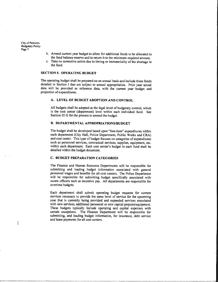- b. Amend current year budget to allow for additional funds to be allocated to the fund balance reserve and to return it to the minimum required amount.
- Take no corrective action due to timing or immateriality of the shortage in the fund

#### **SECTION 5. OPERATING BUDGET**

The operating budget shall be prepared on an annual basis and include those funds detailed in Section I that are subject to annual appropriation. Prior year actual data will be provided as reference data, with the current year budget and projection of expenditures

# A. LEVEL OF BUDGET ADOPTION AND CONTROL

All budgets shall be adopted at the legal level of budgetary control, which is the cost center (department) level within each individual fund. See Section III G for the process to amend the budget.

# **B. DEPARTMENTAL APPROPRIATIONS/BUDGET**

The budget shall be developed based upon "line-item" expenditures within each department (City Hall, Police Department, Public Works and CRA) and cost center. This type of budget focuses on categories of expenditures such as personnel services, contractual services, supplies, equipment, etc. within each department. Each cost center's budget in each fund shall be detailed within the budget document

#### **C. BUDGET PREPARATION CATEGORIES**

The Finance and Human Resource Departments will be responsible for submitting and loading budget information associated with general personnel wages and benefits for all cost centers. The Police Department will be responsible for submitting budget specifically associated with sworn officers such as incentive pay. All departments are responsible for overtime budgets

Each department shall submit operating budget requests for current services necessary to provide the same level of service for the upcoming year that is currently being provided and expanded services associated with new services, additional personnel or new capital projects/equipment. These budgets typically include operating and capital expenses with certain exceptions. The Finance Department will be responsible for submitting, and loading budget information, for insurance, debt service and lease payments for all cost centers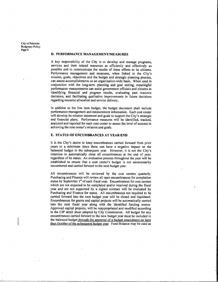#### D. PERFORMANCE MANAGEMENT/MEASURES

A key responsibility of the City is to develop and manage programs services and their related resources as efficiently and effectively as possible and to communicate the results of these efforts to its citizens Performance management and measures, when linked to the City's mission, goals, objectives and the budget and strategic planning process, can assess accomplishments on an organization-wide basis. When used in conjunction with the long-term planning and goal setting, meaningful performance measurements can assist govemmentofficials and citizens in identifying financial and program results, evaluating past resource decisions, and facilitating qualitative improvements in future decisions regarding resource allocation and service delivery

In addition to the line item budget, the budget document shall include performance management and measurement information. Each cost center will develop its mission statement and goals to support the City's strategic and financial plans. Performance measures will be identified, tracked, analyzed and reported for each cost center to assess the level of success in achieving the cost center's mission and goals.

# E. STATUS OF ENCUMBRANCES AT YEAR END

It is the City's desire to keep encumbrances carried forward from prior years to a minimum since these can have <sup>a</sup> negative impact on the balanced budget in the subsequent year. However, it is not the City's intention to automatically close all encumbrances at the end of year regardless of its status. An evaluation process throughout the year will be established to ensure that a cost center's budget is not unnecessarily encumbered and carried forward to the next budget year

All encumbrances will be reviewed by the cost centers quarterly. Purchasing and Finance will review all open encumbrances for completion status by September  $1<sup>st</sup>$  of each fiscal year. Encumbrances for cost centers which are not expected to be completed and/or received during the fiscal year and are not supported by a signed contract will be evaluated by Purchasing and Finance for status. All encumbrances not required to be carried forward into the next budget year will be closed and liquidated Encumbrances for grants and capital projects will be automatically carried into the next fiscal year along with the identified funding source Approved capital projects, will be reappropriated and modified according to the CIP detail sheet adopted by City Commission. All budget for any encumbrances carried forward to the new budget year must be included in the balanced budget through the approval of a budget amendment no later than October of the subsequent budget year. Fund Balance may be used as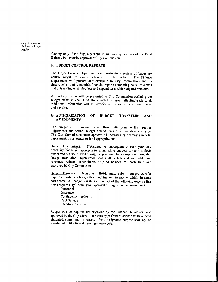> funding only if the fund meets the minimum requirements of the Fund Balance Policy or by approval of City Commission.

#### F. BUDGET CONTROL REPORTS

The City's Finance Department shall maintain a system of budgetary control reports to assure adherence to the budget. The Finance Department will prepare and distribute to City Commission and its departments, timely monthly financial reports comparing actual revenues and outstanding encumbrances and expenditures with budgeted amounts

<sup>A</sup> quarterly review will be presented to City Commission outlining the budget status in each fund along with key issues affecting each fund Additional information will be provided on insurance, debt, investments and pension

#### G AUTHORIZATION OF BUDGET TRANSFERS AND AMENDMENTS

The budget is a dynamic rather than static plan, which requires adjustments and formal budget amendments as circumstances change The City Commission must approve all increases or decreases in total departmental, cost center or fund appropriations

Budget Amendments: Throughout or subsequent to each year, any necessary budgetary appropriations, including budgets for any projects authorized but not funded during the year, may be appropriated through a Budget Resolution. Such resolutions shall be balanced with additional revenues, reduced expenditures or fund balance for each fund and approved by City Commission

Budget Transfers: Department Heads must submit budget transfer requests transferring budget from one line item to another within the same cost center. All budget transfers into or out of the following expense line items require City Commission approval through <sup>a</sup> budget amendment

Personnel Insurance Contingency line items Debt Service Inter-fund transfers

Budget transfer requests are reviewed by the Finance Department and approved by the City Clerk. Transfers from appropriations that have been obligated, committed, or reserved for a designated purpose shall not be transferred until <sup>a</sup> formal de obligation occurs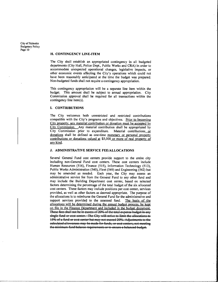#### H. CONTINGENCY LINE-ITEM

The City shall establish an appropriated contingency in all budgeted departments (City Hall, Police Dept., Public Works and CRA) in order to accommodate unexpected operational changes, legislative impacts, or other economic events affecting the City's operations which could not have been reasonably anticipated at the time the budget was prepared. Non budgeted funds shall not require <sup>a</sup> contingency appropriation

This contingency appropriation will be <sup>a</sup> separate line item within the budget. This amount shall be subject to annual appropriation. City Commission approval shall be required for all transactions within the contingency line item( $s$ ).

#### **I. CONTRIBUTIONS**

The City welcomes both unrestricted and restricted contributions compatible with the City's programs and objectives. Prior to becoming City property, any material contribution or donation must be accepted by City Commission. Any material contribution shall be appropriated by<br>City Commission prior to expenditure. Material contributions or<br>donations shall be defined as one-time monetary or personal property donations shall be defined as one-time monetary or personal property contributions or donations valued at \$5,000 or more of real property of any kind.

#### J. ADMINISTRATIVE SERVICE FEE/ALLOCATIONS

Several General Fund cost centers provide support to the entire city including non General Fund cost centers These cost centers include Human Resources (516), Finance (515), Information Technology (513), Public Works Administration (540), Fleet (549) and Engineering (542) but may be amended as needed. Each year, the City may assess an administrative service fee from the General Fund to any other fund and may include the Building Department cost center, based on selected factors determining the percentage of the total budget of the six allocated cost centers. These factors may include positions per cost center, services provided, as well as other factors as deemed appropriate. The purpose of the allocations is to reimburse the General Fund for the administrative and support services provided to the assessed fund. The basis of the allocations will be determined during the annual budget process, be kept on file in the Finance Department and included in the budget document These fees shall not be in excess of 20% of the total expense budget in any single fund or cost center. The City will strive to limit the allocations to  $15\%$  of a fund or cost center. The City will strive to limit the allocations to the fund or cost center. The City will strive to limit the allocations to the single fund of  $\alpha$  and  $\alpha$  is the main position of  $\alpha$  and ealeulated allowances may be made for funds, or cost centers, not meeting the minimum fund balance requirements or to ensure a balanced budget.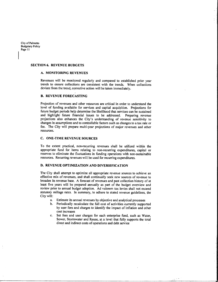#### **SECTION 6. REVENUE BUDGETS**

# A. MONITORING REVENUES

Revenues will be monitored regularly and compared to established prior year trends to ensure collections are consistent with the trends. When collections deviate from the trend, corrective action will be taken immediately.

# **B. REVENUE FORECASTING**

Projection of revenues and other resources are critical in order to understand the level of funding available for services and capital acquisition. Projections for future budget periods help determine the likelihood that services can be sustained and highlight future financial issues to be addressed. Preparing revenue projections also enhances the City's understanding of revenue sensitivity to changes in assumptions and to controllable factors such as changes to <sup>a</sup> tax rate or fee. The City will prepare multi-year projections of major revenues and other resources

# C. ONE-TIME REVENUE SOURCES

To the extent practical, non-recurring revenues shall be utilized within the appropriate fund for items relating to non-recurring expenditures, capital or reserves to eliminate the fluctuations in funding operations with non-sustainable resources. Recurring revenues will be used for recurring expenditures.

## D. REVENUE OPTIMIZATION AND DIVERSIFICATION

The City shall attempt to optimize all appropriate revenue sources to achieve an effective mix of revenues, and shall continually seek new sources of revenue to broaden its revenue base. A forecast of revenues and past collection history of at least five years will be prepared annually as part of the budget overview and review prior to annual budget adoption. Ad valorem tax levies shall not exceed statutory millage rates. In summary, to adhere to stated revenue guidelines, the City will

- a Estimate its annual revenues by objective and analytical processes
- b Periodically recalculate the full cost of activities currently supported by user fees and charges to identify the impact of inflation and other cost increases
- c Set fees and user charges for each enterprise fund, such as Water, Sewer, Stormwater and Reuse, at a level that fully supports the total direct and indirect costs of operations and debt service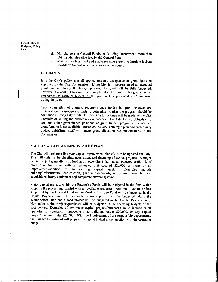- d. Not charge non-General Funds, or Building Department, more than 10% in administrative fees by the General Fund
- e. Maintain a diversified and stable revenue system to insulate it from short-term fluctuations in any one-revenue source

#### **E. GRANTS**

It is the City's policy that all applications and acceptance of grant funds be approved by the City Commission. If the City is in possession of an executed grant contract during the budget process, the grant will be fully budgeted. however if a contract has not been completed at the time of budget, a budget amendment to establish budget for the grant will be presented to Commission during the year.

Upon completion of a grant, programs once funded by grant revenues are reviewed on a case by case basis to determine whether the program should be continued utilizing City funds. The decision to continue will be made by the City Commission during the budget review process. The City has no obligation to continue either grant funded positions or grant funded programs if continued grant funding is not available. Based on the City's strategic plan and preliminary budget guidelines, staff will make grant allocation recommendations to the Commission

# SECTION 7. CAPITAL IMPROVEMENT PLAN

The City will prepare a five-year capital improvement plan (CIP) to be updated annually. This will assist in the planning, acquisition, and financing of capital projects. A major capital project generally is defined as an expenditure that has an expected useful life of more than five years with an estimated unit cost of \$20,000 or more, or an improvement/addition to an existing capital asset. Examples include building/infrastructure, construction, park improvements, utility improvements, land acquisitions, heavy equipment and computer/software systems.

Major capital projects within the Enterprise Funds will be budgeted in the fund which supports the project and funded with all available resources. Any major capital project supported by the General Fund or the Road and Bridge Fund will be budgeted in the Capital Projects Fund. For example, a water project will be budgeted within the Water/Sewer Fund and a road project will be budgeted in the Capital Projects Fund. Non-major capital projects/purchases will be budgeted in the operating budgets of the cost centers. Examples of non-major capital projects/purchases could include small upgrades to sidewalks, improvements to buildings under \$20,000, or any capital project/purchase under \$20,000. With the involvement of the responsible departments. the Finance Department will prepare the capital budget in conjunction with the operating budget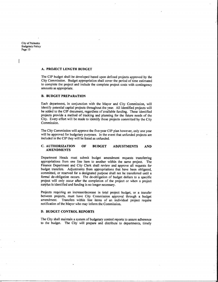# A. PROJECT LENGTH BUDGET

The CIP budget shall be developed based upon defined projects approved by the City Commission. Budget appropriation shall cover the period of time estimated to complete the project and include the complete project costs with contingency amounts as appropriate

#### **B. BUDGET PREPARATION**

Each department, in conjunction with the Mayor and City Commission, will identify potential capital projects throughout the year All identified projects will be added to the CIP document, regardless of available funding. These identified projects provide a method of tracking and planning for the future needs of the City. Every effort will be made to identify those projects committed by the City Commission

The City Commission will approve the five-year CIP plan however, only one year will be approved for budgetary purposes. In the event that unfunded projects are included in the CIP they will be listed as unfunded

#### **C. AUTHORIZATION** AMENDMENTS OF BUDGET ADJUSTMENTS AND

Department Heads must submit budget amendment requests transferring appropriations from one line item to another within the same project. The Finance Department and City Clerk shall review and approve all requests for budget transfers. Adjustments from appropriations that have been obligated, committed, or reserved for a designated purpose shall not be transferred until a formal de-obligation occurs. The de-obligation of budget dollars to a specific project will only occur after the completion of the project or when <sup>a</sup> project surplus is identified and funding is no longer necessary.

Projects requiring an increase/decrease in total project budget, or a transfer between projects, must have City Commission approval through a budget amendment. Transfers within line items of an individual project require notification of the Mayor who may inform the Commission

#### D. BUDGET CONTROL REPORTS

The City shall maintain a system of budgetary control reports to assure adherence to the budget. The City will prepare and distribute to departments, timely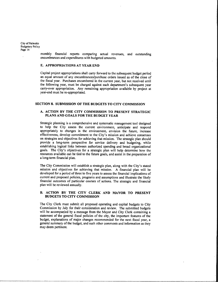> monthly financial reports comparing actual revenues, and outstanding encumbrances and expenditures with budgeted amounts

#### E. APPROPRIATIONS AT YEAR END

Capital project appropriations shaII carry forward to the subsequent budget period an equal amount of any encumbrances/purchase orders issued as of the close of the fiscal year. Purchases encumbered in the current year, but not received until the following year, must be charged against each department's subsequent year carry-over appropriation. Any remaining appropriation available by project at year-end must be re-appropriated.

## SECTION 8. SUBMISSION OF THE BUDGETS TO CITY COMMISSION

#### <sup>A</sup> ACTION BY THE CITY COMMISSION TO PRESENT STRATEGIC PLANS AND GOALS FOR THE BUDGET YEAR

Strategic planning is a comprehensive and systematic management tool designed to help the City assess the current environment anticipate and respond appropriately to changes in the environment, envision the future, increase effectiveness, develop commitment to the City's mission and achieve consensus on strategies and objectives for achieving that mission. The strategic plan should provide a long-term perspective for service delivery and budgeting, while establishing logical links between authorized spending and broad organizational goals. The City's objectives for a strategic plan will help determine how the resources available can be tied to the future goals and assist in the preparation of a long term financial plan

The City Commission will establish a strategic plan, along with the City's stated mission and objectives for achieving that mission <sup>A</sup> financial plan will be developed for a period of three to five years to assess the financial implications of current and proposed policies, programs and assumptions and illustrate the likely financial outcomes of particular courses of actions The strategic and financial plan will be reviewed annually.

# B. ACTION BY THE CITY CLERK AND MAYOR TO PRESENT **BUDGETS TO CITY COMMISSION**

The City Clerk must submit all proposed operating and capital budgets to City Commission by July for their consideration and review. The submitted budgets will be accompanied by a message from the Mayor and City Clerk containing a statement of the general fiscal policies of the city, the important features of the budget, explanations of major changes recommended for the next fiscal year, a general summary of the budget, and such other comments and information as they may deem pertinent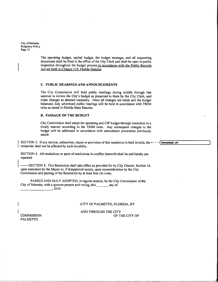> The operating budget, capital budget, the budget message, and all supporting documents shall be filed in the office of the City Clerk and shall be open to public inspection throughout the budget process in accordance with the Public Records Act set forth in Chapter 119, Florida Statutes.

#### C. PUBLIC HEARINGS AND ANNOUNCEMENTS

The City Commission will hold public meetings during middle through late summer to review the City's budget as presented to them by the City Clerk, and make changes as deemed necessary. Once all changes are made and the budget balanced, duly advertised public hearings will be held in accordance with TRIM rules as stated in Florida State Statutes

# D. PASSAGE OF THE BUDGET

City Commission shall adopt the operating and CIP budget through resolution in a timely manner according to the TRIM rules. Any subsequent changes to the budget will be addressed in accordance with amendment procedures previously stated.

SECTION 3. If any section, subsection, clause or provision of this resolution is held invalid, the  $\leftarrow$ remainder shall not be affected by such invalidity.

SECTION 4. All resolutions or parts of resolutions in conflict herewith shall be and hereby are repealed

-SECTION 5. This Resolution shall take effect as provided for by City Charter, Section 14, upon execution by the Mayor or, if disapproval occurs, upon reconsideration by the City Commission and passing of the Resolution by at least four (4) votes.

PASSED AND DULY ADOPTED, in regular session, by the City Commission of the City of Palmetto, with a quorum present and voting, this \_\_\_\_\_\_ day of  $.2010.$ 

#### -CITY OF PALMETTO, FLORIDA, BY

**COMMISSION** PALMETTO

AND THROUGH THE CITY OF THE CITY OF Formatted: Left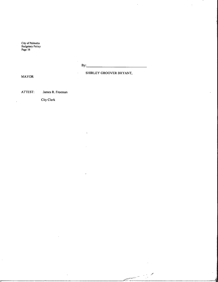|  | -------- |
|--|----------|
|  |          |

 $\bar{z}$ 

p

7

111

 $\bullet$ 

 $\bar{\mathcal{A}}$ 

MAYOR

l,

 $\hat{\boldsymbol{\beta}}$ 

SHIRLEY GROOVER BRYANT

ATTEST: James R. Freeman

City Clerk

 $\downarrow$